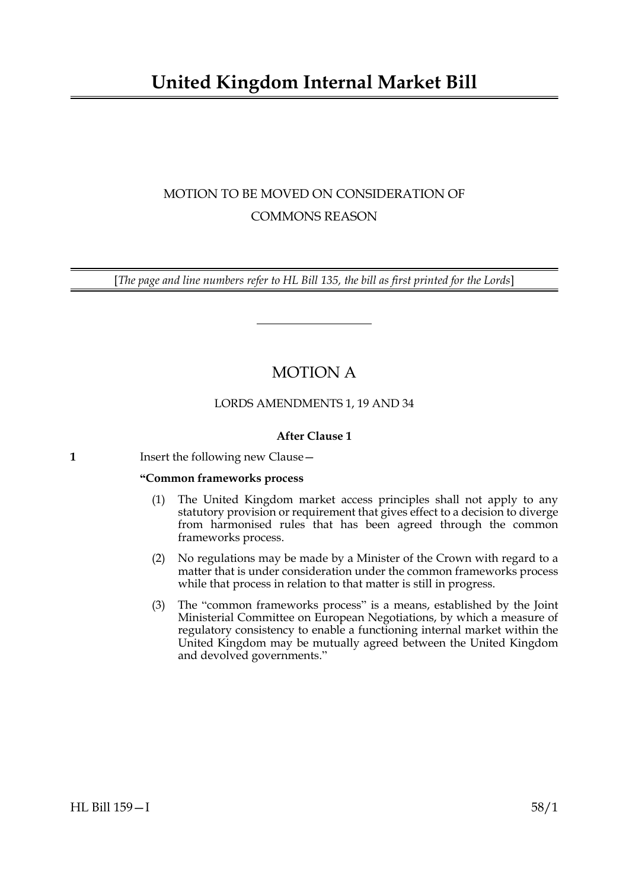# **United Kingdom Internal Market Bill**

## MOTION TO BE MOVED ON CONSIDERATION OF COMMONS REASON

[*The page and line numbers refer to HL Bill 135, the bill as first printed for the Lords*]

## MOTION A

### LORDS AMENDMENTS 1, 19 AND 34

### **After Clause 1**

| Insert the following new Clause - |  |
|-----------------------------------|--|
|                                   |  |

### **"Common frameworks process**

- (1) The United Kingdom market access principles shall not apply to any statutory provision or requirement that gives effect to a decision to diverge from harmonised rules that has been agreed through the common frameworks process.
- (2) No regulations may be made by a Minister of the Crown with regard to a matter that is under consideration under the common frameworks process while that process in relation to that matter is still in progress.
- (3) The "common frameworks process" is a means, established by the Joint Ministerial Committee on European Negotiations, by which a measure of regulatory consistency to enable a functioning internal market within the United Kingdom may be mutually agreed between the United Kingdom and devolved governments."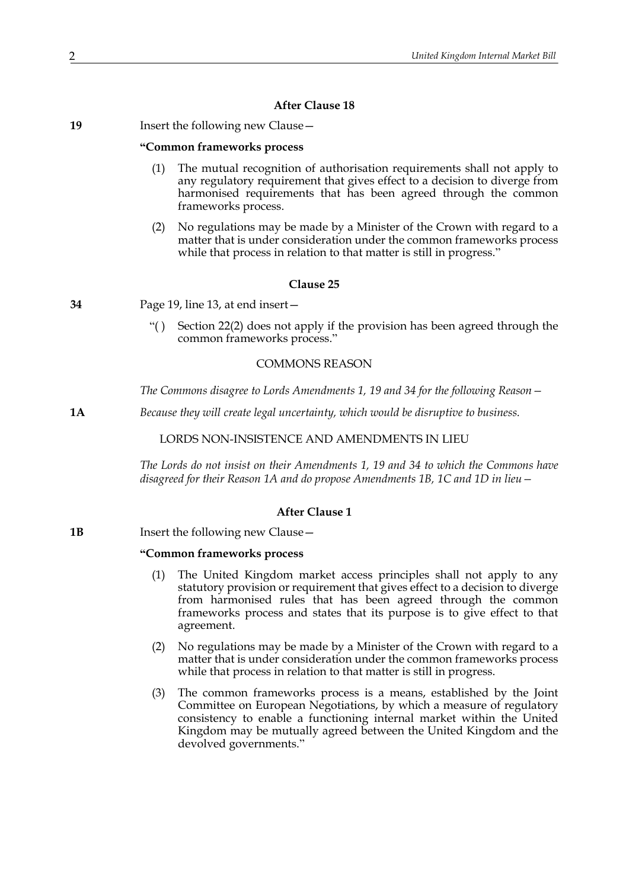### **After Clause 18**

| 19 | Insert the following new Clause - |
|----|-----------------------------------|
|----|-----------------------------------|

### **"Common frameworks process**

- The mutual recognition of authorisation requirements shall not apply to any regulatory requirement that gives effect to a decision to diverge from harmonised requirements that has been agreed through the common frameworks process.
- (2) No regulations may be made by a Minister of the Crown with regard to a matter that is under consideration under the common frameworks process while that process in relation to that matter is still in progress."

#### **Clause 25**

**34** Page 19, line 13, at end insert—

"( ) Section 22(2) does not apply if the provision has been agreed through the common frameworks process."

### COMMONS REASON

*The Commons disagree to Lords Amendments 1, 19 and 34 for the following Reason—*

**1A** *Because they will create legal uncertainty, which would be disruptive to business.*

LORDS NON-INSISTENCE AND AMENDMENTS IN LIEU

*The Lords do not insist on their Amendments 1, 19 and 34 to which the Commons have disagreed for their Reason 1A and do propose Amendments 1B, 1C and 1D in lieu—*

### **After Clause 1**

**1B** Insert the following new Clause —

### **"Common frameworks process**

- (1) The United Kingdom market access principles shall not apply to any statutory provision or requirement that gives effect to a decision to diverge from harmonised rules that has been agreed through the common frameworks process and states that its purpose is to give effect to that agreement.
- (2) No regulations may be made by a Minister of the Crown with regard to a matter that is under consideration under the common frameworks process while that process in relation to that matter is still in progress.
- (3) The common frameworks process is a means, established by the Joint Committee on European Negotiations, by which a measure of regulatory consistency to enable a functioning internal market within the United Kingdom may be mutually agreed between the United Kingdom and the devolved governments."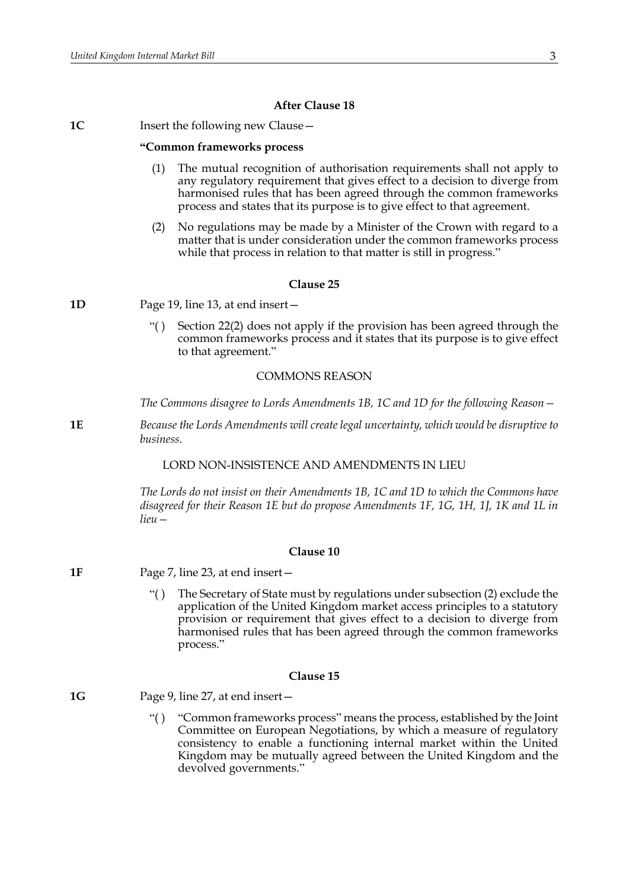### **After Clause 18**

**1C** Insert the following new Clause -

#### **"Common frameworks process**

- The mutual recognition of authorisation requirements shall not apply to any regulatory requirement that gives effect to a decision to diverge from harmonised rules that has been agreed through the common frameworks process and states that its purpose is to give effect to that agreement.
- (2) No regulations may be made by a Minister of the Crown with regard to a matter that is under consideration under the common frameworks process while that process in relation to that matter is still in progress."

#### **Clause 25**

**1D** Page 19, line 13, at end insert—

"( ) Section 22(2) does not apply if the provision has been agreed through the common frameworks process and it states that its purpose is to give effect to that agreement."

### COMMONS REASON

*The Commons disagree to Lords Amendments 1B, 1C and 1D for the following Reason—*

**1E** *Because the Lords Amendments will create legal uncertainty, which would be disruptive to business.*

### LORD NON-INSISTENCE AND AMENDMENTS IN LIEU

*The Lords do not insist on their Amendments 1B, 1C and 1D to which the Commons have disagreed for their Reason 1E but do propose Amendments 1F, 1G, 1H, 1J, 1K and 1L in lieu—*

### **Clause 10**

- **1F** Page 7, line 23, at end insert—
	- "( ) The Secretary of State must by regulations under subsection (2) exclude the application of the United Kingdom market access principles to a statutory provision or requirement that gives effect to a decision to diverge from harmonised rules that has been agreed through the common frameworks process."

#### **Clause 15**

**1G** Page 9, line 27, at end insert—

"( ) "Common frameworks process" means the process, established by the Joint Committee on European Negotiations, by which a measure of regulatory consistency to enable a functioning internal market within the United Kingdom may be mutually agreed between the United Kingdom and the devolved governments."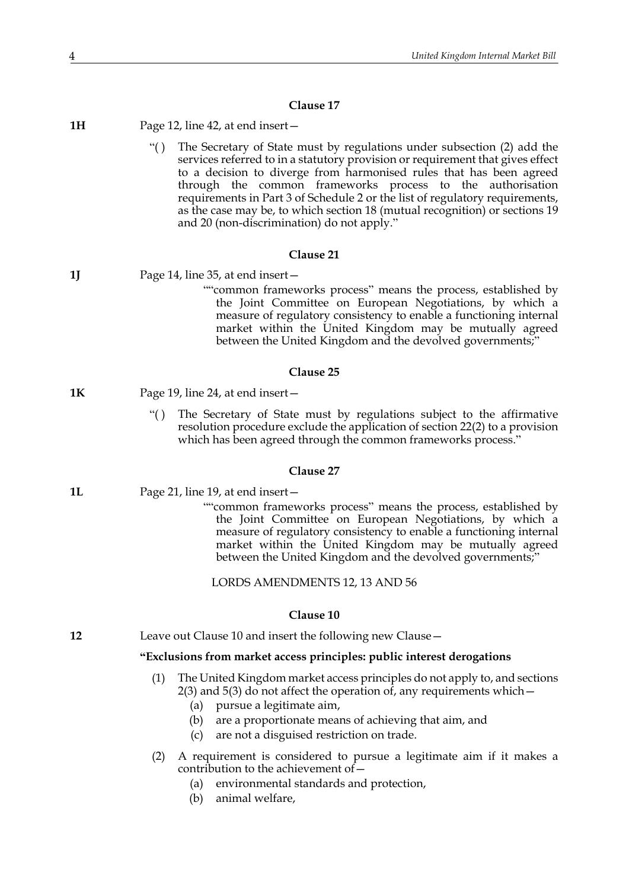### **Clause 17**

| 1H | Page 12, line 42, at end insert $-$                                                                                                                                                                                                                                                                                                                                                                                                                                                                                 |  |  |
|----|---------------------------------------------------------------------------------------------------------------------------------------------------------------------------------------------------------------------------------------------------------------------------------------------------------------------------------------------------------------------------------------------------------------------------------------------------------------------------------------------------------------------|--|--|
|    | ``()<br>The Secretary of State must by regulations under subsection (2) add the<br>services referred to in a statutory provision or requirement that gives effect<br>to a decision to diverge from harmonised rules that has been agreed<br>through the common frameworks process to the authorisation<br>requirements in Part 3 of Schedule 2 or the list of regulatory requirements,<br>as the case may be, to which section 18 (mutual recognition) or sections 19<br>and 20 (non-discrimination) do not apply." |  |  |
|    | Clause 21                                                                                                                                                                                                                                                                                                                                                                                                                                                                                                           |  |  |
| 1J | Page 14, line 35, at end insert –                                                                                                                                                                                                                                                                                                                                                                                                                                                                                   |  |  |
|    | ""common frameworks process" means the process, established by<br>the Joint Committee on European Negotiations, by which a<br>measure of regulatory consistency to enable a functioning internal<br>market within the United Kingdom may be mutually agreed<br>between the United Kingdom and the devolved governments;"                                                                                                                                                                                            |  |  |
|    | Clause 25                                                                                                                                                                                                                                                                                                                                                                                                                                                                                                           |  |  |
| 1К | Page 19, line 24, at end insert –                                                                                                                                                                                                                                                                                                                                                                                                                                                                                   |  |  |
|    | The Secretary of State must by regulations subject to the affirmative<br>``()<br>resolution procedure exclude the application of section 22(2) to a provision<br>which has been agreed through the common frameworks process."                                                                                                                                                                                                                                                                                      |  |  |
|    | Clause 27                                                                                                                                                                                                                                                                                                                                                                                                                                                                                                           |  |  |
| 1L | Page 21, line 19, at end insert –                                                                                                                                                                                                                                                                                                                                                                                                                                                                                   |  |  |
|    | ""common frameworks process" means the process, established by<br>the Joint Committee on European Negotiations, by which a<br>measure of regulatory consistency to enable a functioning internal<br>market within the United Kingdom may be mutually agreed<br>between the United Kingdom and the devolved governments;"                                                                                                                                                                                            |  |  |
|    | LORDS AMENDMENTS 12, 13 AND 56                                                                                                                                                                                                                                                                                                                                                                                                                                                                                      |  |  |
|    | Clause 10                                                                                                                                                                                                                                                                                                                                                                                                                                                                                                           |  |  |
| 12 | Leave out Clause 10 and insert the following new Clause-                                                                                                                                                                                                                                                                                                                                                                                                                                                            |  |  |
|    | "Exclusions from market access principles: public interest derogations                                                                                                                                                                                                                                                                                                                                                                                                                                              |  |  |
|    | The United Kingdom market access principles do not apply to, and sections<br>(1)<br>$2(3)$ and $5(3)$ do not affect the operation of, any requirements which $-$<br>pursue a legitimate aim,<br>(a)                                                                                                                                                                                                                                                                                                                 |  |  |
|    | are a proportionate means of achieving that aim, and<br>(b)<br>are not a disguised restriction on trade.<br>(c)                                                                                                                                                                                                                                                                                                                                                                                                     |  |  |
|    | A requirement is considered to pursue a legitimate aim if it makes a<br>(2)<br>contribution to the achievement of -                                                                                                                                                                                                                                                                                                                                                                                                 |  |  |

- (a) environmental standards and protection,
- (b) animal welfare,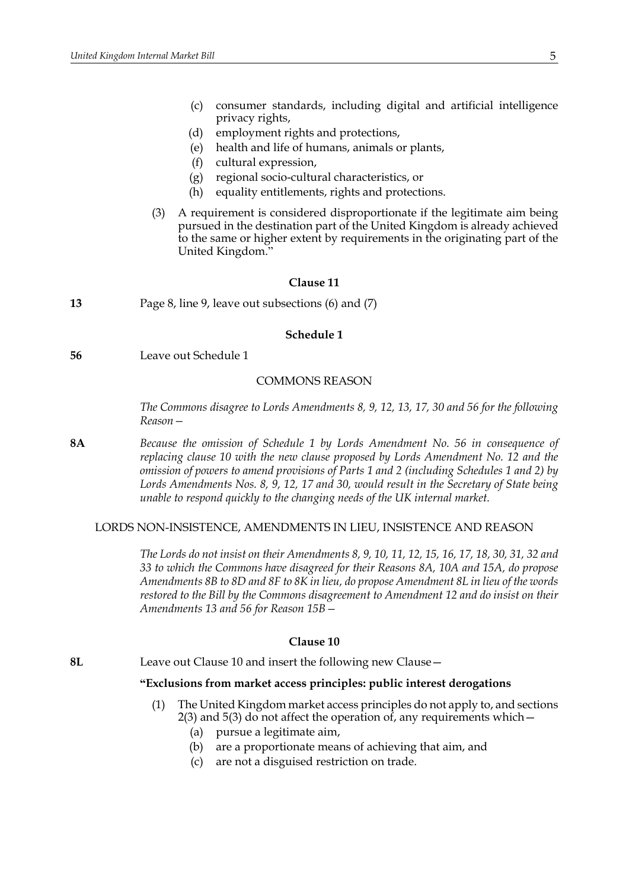- (c) consumer standards, including digital and artificial intelligence privacy rights,
- (d) employment rights and protections,
- (e) health and life of humans, animals or plants,
- (f) cultural expression,
- (g) regional socio-cultural characteristics, or
- (h) equality entitlements, rights and protections.
- (3) A requirement is considered disproportionate if the legitimate aim being pursued in the destination part of the United Kingdom is already achieved to the same or higher extent by requirements in the originating part of the United Kingdom."

#### **Clause 11**

**13** Page 8, line 9, leave out subsections (6) and (7)

#### **Schedule 1**

**56** Leave out Schedule 1

### COMMONS REASON

*The Commons disagree to Lords Amendments 8, 9, 12, 13, 17, 30 and 56 for the following Reason—*

**8A** *Because the omission of Schedule 1 by Lords Amendment No. 56 in consequence of replacing clause 10 with the new clause proposed by Lords Amendment No. 12 and the omission of powers to amend provisions of Parts 1 and 2 (including Schedules 1 and 2) by Lords Amendments Nos. 8, 9, 12, 17 and 30, would result in the Secretary of State being unable to respond quickly to the changing needs of the UK internal market.*

### LORDS NON-INSISTENCE, AMENDMENTS IN LIEU, INSISTENCE AND REASON

*The Lords do not insist on their Amendments 8, 9, 10, 11, 12, 15, 16, 17, 18, 30, 31, 32 and 33 to which the Commons have disagreed for their Reasons 8A, 10A and 15A, do propose Amendments 8B to 8D and 8F to 8K in lieu, do propose Amendment 8L in lieu of the words restored to the Bill by the Commons disagreement to Amendment 12 and do insist on their Amendments 13 and 56 for Reason 15B—*

### **Clause 10**

**8L** Leave out Clause 10 and insert the following new Clause—

### **"Exclusions from market access principles: public interest derogations**

- (1) The United Kingdom market access principles do not apply to, and sections 2(3) and 5(3) do not affect the operation of, any requirements which—
	- (a) pursue a legitimate aim,
	- (b) are a proportionate means of achieving that aim, and
	- (c) are not a disguised restriction on trade.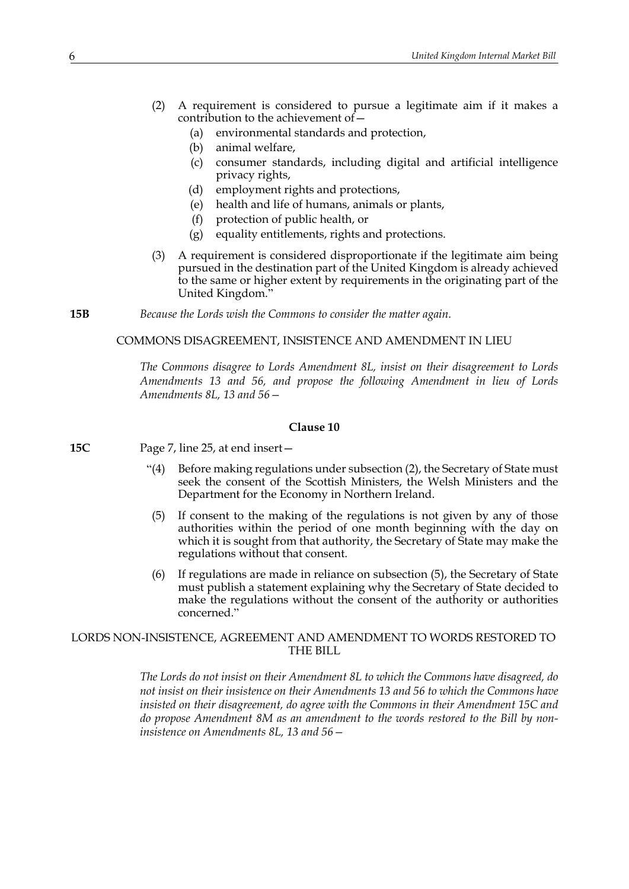- (2) A requirement is considered to pursue a legitimate aim if it makes a contribution to the achievement of—
	- (a) environmental standards and protection,
	- (b) animal welfare,
	- (c) consumer standards, including digital and artificial intelligence privacy rights,
	- (d) employment rights and protections,
	- (e) health and life of humans, animals or plants,
	- (f) protection of public health, or
	- (g) equality entitlements, rights and protections.
- (3) A requirement is considered disproportionate if the legitimate aim being pursued in the destination part of the United Kingdom is already achieved to the same or higher extent by requirements in the originating part of the United Kingdom."
- **15B** *Because the Lords wish the Commons to consider the matter again.*

### COMMONS DISAGREEMENT, INSISTENCE AND AMENDMENT IN LIEU

*The Commons disagree to Lords Amendment 8L, insist on their disagreement to Lords Amendments 13 and 56, and propose the following Amendment in lieu of Lords Amendments 8L, 13 and 56—*

### **Clause 10**

**15C** Page 7, line 25, at end insert—

- "(4) Before making regulations under subsection (2), the Secretary of State must seek the consent of the Scottish Ministers, the Welsh Ministers and the Department for the Economy in Northern Ireland.
- (5) If consent to the making of the regulations is not given by any of those authorities within the period of one month beginning with the day on which it is sought from that authority, the Secretary of State may make the regulations without that consent.
- (6) If regulations are made in reliance on subsection (5), the Secretary of State must publish a statement explaining why the Secretary of State decided to make the regulations without the consent of the authority or authorities concerned."

### LORDS NON-INSISTENCE, AGREEMENT AND AMENDMENT TO WORDS RESTORED TO THE BILL

*The Lords do not insist on their Amendment 8L to which the Commons have disagreed, do not insist on their insistence on their Amendments 13 and 56 to which the Commons have insisted on their disagreement, do agree with the Commons in their Amendment 15C and do propose Amendment 8M as an amendment to the words restored to the Bill by noninsistence on Amendments 8L, 13 and 56—*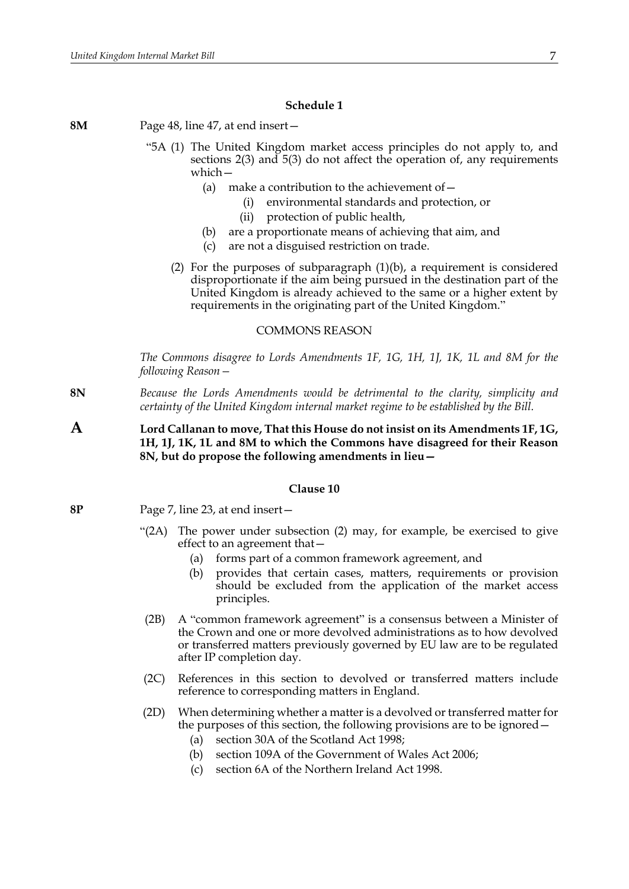### **Schedule 1**

**8M** Page 48, line 47, at end insert—

- "5A (1) The United Kingdom market access principles do not apply to, and sections 2(3) and 5(3) do not affect the operation of, any requirements which—
	- (a) make a contribution to the achievement of  $-$ 
		- (i) environmental standards and protection, or
		- (ii) protection of public health,
	- (b) are a proportionate means of achieving that aim, and
	- (c) are not a disguised restriction on trade.
	- (2) For the purposes of subparagraph (1)(b), a requirement is considered disproportionate if the aim being pursued in the destination part of the United Kingdom is already achieved to the same or a higher extent by requirements in the originating part of the United Kingdom."

### COMMONS REASON

*The Commons disagree to Lords Amendments 1F, 1G, 1H, 1J, 1K, 1L and 8M for the following Reason—*

- **8N** *Because the Lords Amendments would be detrimental to the clarity, simplicity and certainty of the United Kingdom internal market regime to be established by the Bill.*
- **A Lord Callanan to move, That this House do not insist on its Amendments 1F, 1G, 1H, 1J, 1K, 1L and 8M to which the Commons have disagreed for their Reason 8N, but do propose the following amendments in lieu—**

### **Clause 10**

- **8P** Page 7, line 23, at end insert—
	- "(2A) The power under subsection (2) may, for example, be exercised to give effect to an agreement that—
		- (a) forms part of a common framework agreement, and
		- (b) provides that certain cases, matters, requirements or provision should be excluded from the application of the market access principles.
	- (2B) A "common framework agreement" is a consensus between a Minister of the Crown and one or more devolved administrations as to how devolved or transferred matters previously governed by EU law are to be regulated after IP completion day.
	- (2C) References in this section to devolved or transferred matters include reference to corresponding matters in England.
	- (2D) When determining whether a matter is a devolved or transferred matter for the purposes of this section, the following provisions are to be ignored—
		- (a) section 30A of the Scotland Act 1998;
		- (b) section 109A of the Government of Wales Act 2006;
		- (c) section 6A of the Northern Ireland Act 1998.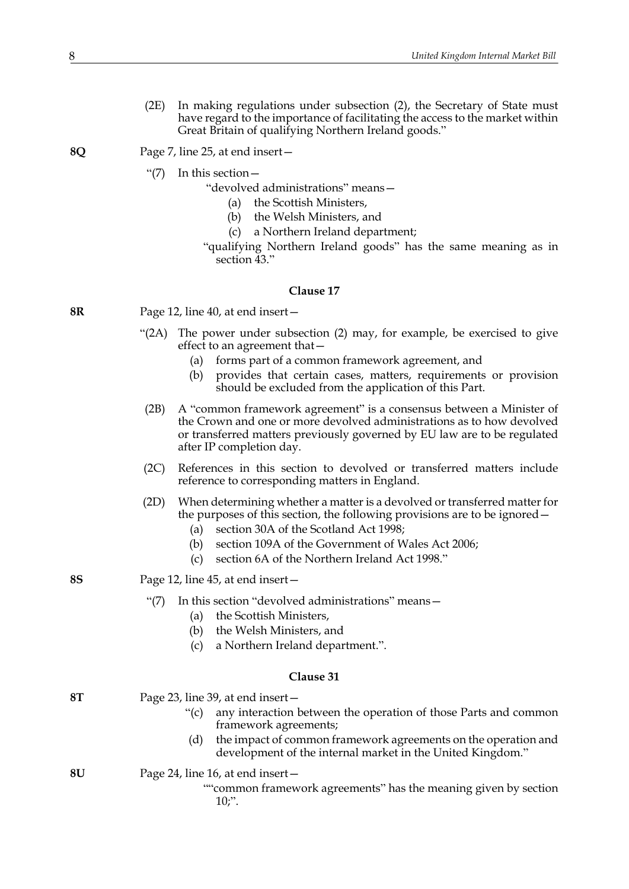(2E) In making regulations under subsection (2), the Secretary of State must have regard to the importance of facilitating the access to the market within Great Britain of qualifying Northern Ireland goods."

**8Q** Page 7, line 25, at end insert—

"(7) In this section—

"devolved administrations" means—

- (a) the Scottish Ministers,
- (b) the Welsh Ministers, and
- (c) a Northern Ireland department;
- "qualifying Northern Ireland goods" has the same meaning as in section  $43$ ."

### **Clause 17**

- **8R** Page 12, line 40, at end insert—
	- "(2A) The power under subsection (2) may, for example, be exercised to give effect to an agreement that—
		- (a) forms part of a common framework agreement, and
		- (b) provides that certain cases, matters, requirements or provision should be excluded from the application of this Part.
	- (2B) A "common framework agreement" is a consensus between a Minister of the Crown and one or more devolved administrations as to how devolved or transferred matters previously governed by EU law are to be regulated after IP completion day.
	- (2C) References in this section to devolved or transferred matters include reference to corresponding matters in England.
	- (2D) When determining whether a matter is a devolved or transferred matter for the purposes of this section, the following provisions are to be ignored—
		- (a) section 30A of the Scotland Act 1998;
		- (b) section 109A of the Government of Wales Act 2006;
		- (c) section 6A of the Northern Ireland Act 1998."
- **8S** Page 12, line 45, at end insert—
	- "(7) In this section "devolved administrations" means—
		- (a) the Scottish Ministers,
		- (b) the Welsh Ministers, and
		- (c) a Northern Ireland department.".

### **Clause 31**

| <b>8T</b> | Page 23, line 39, at end insert $-$ |                                                                                                                              |  |
|-----------|-------------------------------------|------------------------------------------------------------------------------------------------------------------------------|--|
|           | $\degree$ (c)                       | any interaction between the operation of those Parts and common<br>framework agreements;                                     |  |
|           | (d)                                 | the impact of common framework agreements on the operation and<br>development of the internal market in the United Kingdom." |  |
| 8U        | Page 24, line 16, at end insert $-$ |                                                                                                                              |  |
|           |                                     | "common framework agreements" has the meaning given by section                                                               |  |

common tramework agreements" has the meaning given by section  $10;$ ".